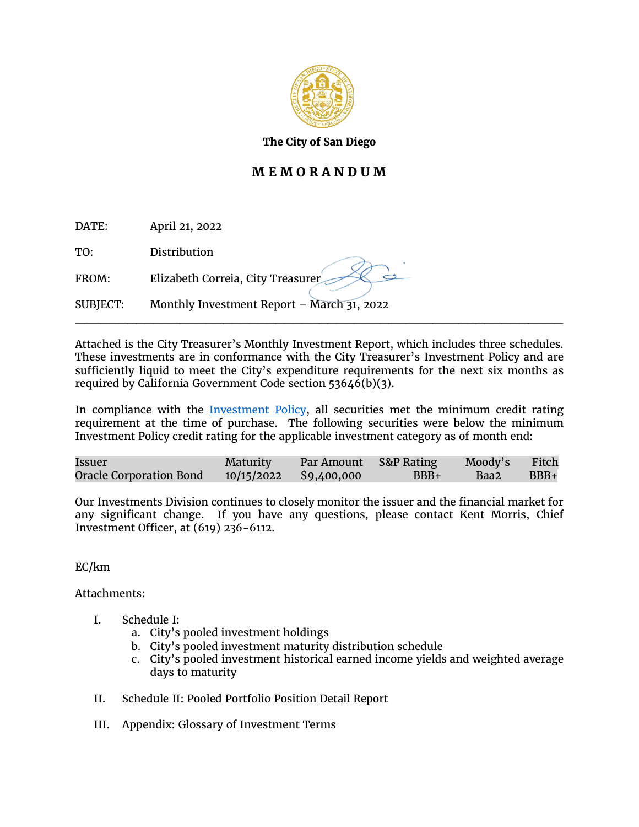

**The City of San Diego**

# **M E M O R A N D U M**

| DATE: | April 21, 2022 |
|-------|----------------|
| TO:   | Distribution   |

SUBJECT: Monthly Investment Report – March 31, 2022

FROM: Elizabeth Correia, City Treasurer

Attached is the City Treasurer's Monthly Investment Report, which includes three schedules. These investments are in conformance with the City Treasurer's Investment Policy and are sufficiently liquid to meet the City's expenditure requirements for the next six months as required by California Government Code section 53646(b)(3).

\_\_\_\_\_\_\_\_\_\_\_\_\_\_\_\_\_\_\_\_\_\_\_\_\_\_\_\_\_\_\_\_\_\_\_\_\_\_\_\_\_\_\_\_\_\_\_\_\_\_\_\_\_\_\_\_

In compliance with the [Investment Policy,](https://www.sandiego.gov/treasurer/investments/invpolicy) all securities met the minimum credit rating requirement at the time of purchase. The following securities were below the minimum Investment Policy credit rating for the applicable investment category as of month end:

| Issuer                  | <b>Maturity</b>        | Par Amount S&P Rating |        | Moody's Fitch |        |
|-------------------------|------------------------|-----------------------|--------|---------------|--------|
| Oracle Corporation Bond | 10/15/2022 \$9,400,000 |                       | $BBB+$ | Baa2          | $BBB+$ |

Our Investments Division continues to closely monitor the issuer and the financial market for any significant change. If you have any questions, please contact Kent Morris, Chief Investment Officer, at (619) 236-6112.

EC/km

Attachments:

- I. Schedule I:
	- a. City's pooled investment holdings
	- b. City's pooled investment maturity distribution schedule
	- c. City's pooled investment historical earned income yields and weighted average days to maturity
- II. Schedule II: Pooled Portfolio Position Detail Report
- III. Appendix: Glossary of Investment Terms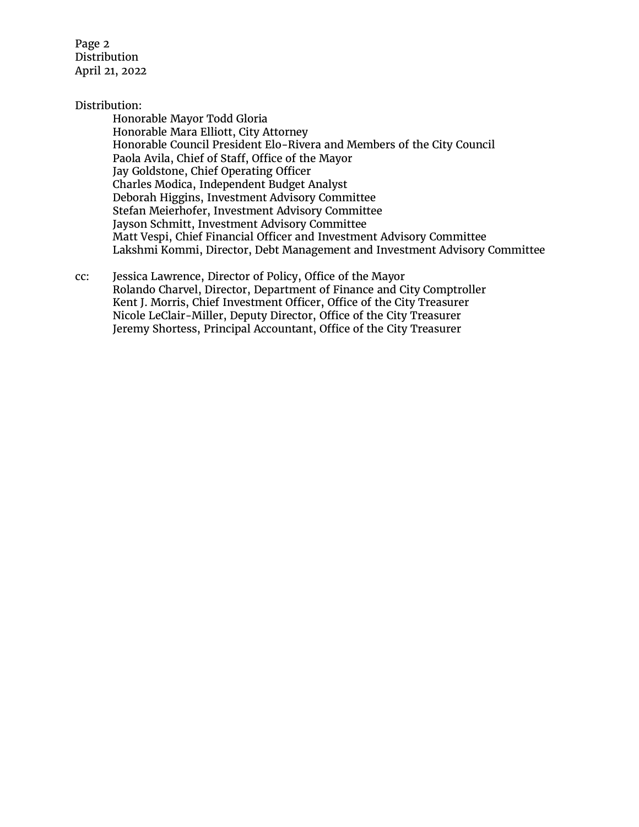Page 2 Distribution April 21, 2022

## Distribution:

Honorable Mayor Todd Gloria Honorable Mara Elliott, City Attorney Honorable Council President Elo-Rivera and Members of the City Council Paola Avila, Chief of Staff, Office of the Mayor Jay Goldstone, Chief Operating Officer Charles Modica, Independent Budget Analyst Deborah Higgins, Investment Advisory Committee Stefan Meierhofer, Investment Advisory Committee Jayson Schmitt, Investment Advisory Committee Matt Vespi, Chief Financial Officer and Investment Advisory Committee Lakshmi Kommi, Director, Debt Management and Investment Advisory Committee

cc: Jessica Lawrence, Director of Policy, Office of the Mayor Rolando Charvel, Director, Department of Finance and City Comptroller Kent J. Morris, Chief Investment Officer, Office of the City Treasurer Nicole LeClair-Miller, Deputy Director, Office of the City Treasurer Jeremy Shortess, Principal Accountant, Office of the City Treasurer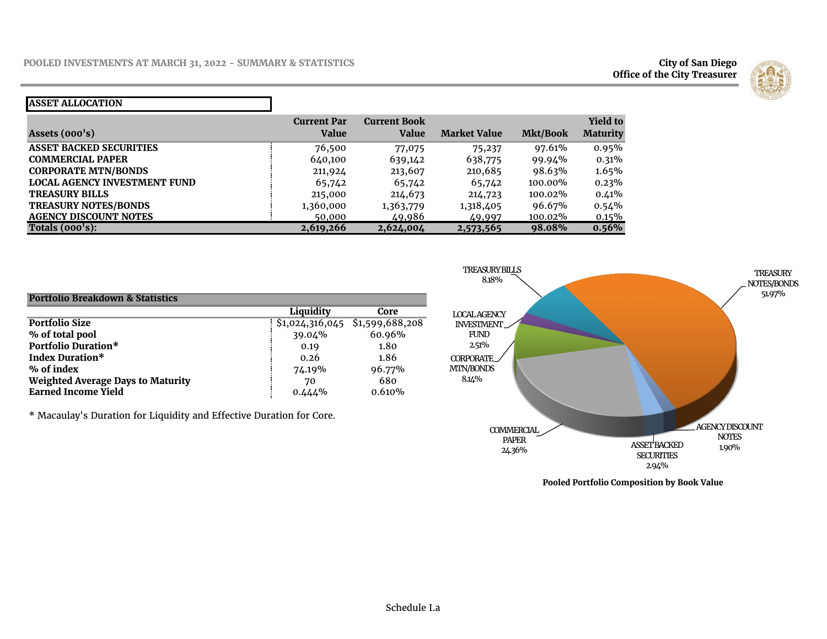**Office of the City Treasurer**



#### **ASSET ALLOCATION**

| Assets $(000's)$                    | <b>Current Par</b><br>Value | <b>Current Book</b><br>Value | <b>Market Value</b> | Mkt/Book | <b>Yield to</b><br><b>Maturity</b> |
|-------------------------------------|-----------------------------|------------------------------|---------------------|----------|------------------------------------|
| <b>ASSET BACKED SECURITIES</b>      | 76,500                      | 77,075                       | 75,237              | 97.61%   | 0.95%                              |
| <b>COMMERCIAL PAPER</b>             | 640,100                     | 639,142                      | 638,775             | 99.94%   | 0.31%                              |
| <b>CORPORATE MTN/BONDS</b>          | 211,924                     | 213,607                      | 210,685             | 98.63%   | 1.65%                              |
| <b>LOCAL AGENCY INVESTMENT FUND</b> | 65,742                      | 65,742                       | 65,742              | 100.00%  | 0.23%                              |
| <b>TREASURY BILLS</b>               | 215,000                     | 214,673                      | 214,723             | 100.02%  | 0.41%                              |
| <b>TREASURY NOTES/BONDS</b>         | 1,360,000                   | 1,363,779                    | 1,318,405           | 96.67%   | $0.54\%$                           |
| <b>AGENCY DISCOUNT NOTES</b>        | 50,000                      | 49,986                       | 49,997              | 100.02%  | $0.15\%$                           |
| Totals $(000's)$ :                  | 2,619,266                   | 2,624,004                    | 2,573,565           | 98.08%   | 0.56%                              |

| <b>Portfolio Breakdown &amp; Statistics</b> |           |                                 |
|---------------------------------------------|-----------|---------------------------------|
|                                             | Liquidity | Core                            |
| <b>Portfolio Size</b>                       |           | \$1,024,316,045 \$1,599,688,208 |
| % of total pool                             | 39.04%    | 60.96%                          |
| Portfolio Duration*                         | 0.19      | 1.80                            |
| <b>Index Duration*</b>                      | 0.26      | 1.86                            |
| % of index                                  | 74.19%    | 96.77%                          |
| <b>Weighted Average Days to Maturity</b>    | 70        | 680                             |
| <b>Earned Income Yield</b>                  | $0.444\%$ | 0.610%                          |

\* Macaulay's Duration for Liquidity and Effective Duration for Core.



**Pooled Portfolio Composition by Book Value**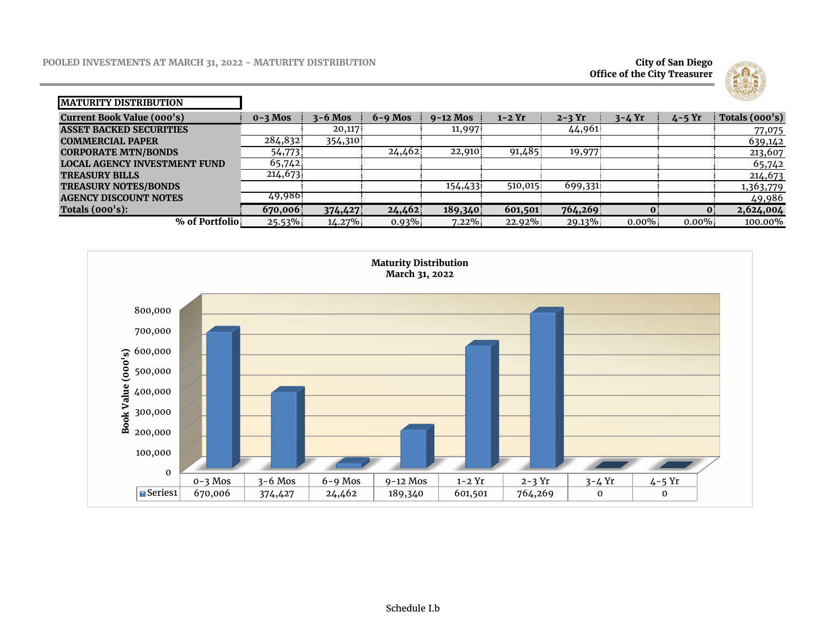**Office of the City Treasurer**



| <b>IMATURITY DISTRIBUTION</b>       |             |             |             |            |          |          |            |            | <b>SAND LEVEL SON</b> |
|-------------------------------------|-------------|-------------|-------------|------------|----------|----------|------------|------------|-----------------------|
| Current Book Value (000's)          | $0 - 3$ Mos | $3 - 6$ Mos | $6 - 9$ Mos | $9-12$ Mos | $1-2$ Yr | $2-3$ Yr | $3 - 4$ Yr | $4 - 5$ Yr | Totals (000's)        |
| <b>ASSET BACKED SECURITIES</b>      |             | 20,117      |             | 11,997     |          | 44,961   |            |            | 77,075                |
| <b>COMMERCIAL PAPER</b>             | 284,832     | 354,310     |             |            |          |          |            |            | 639,142               |
| <b>CORPORATE MTN/BONDS</b>          | 54,773      |             | 24,462      | 22,910     | 91,485   | 19,977   |            |            | 213,607               |
| <b>LOCAL AGENCY INVESTMENT FUND</b> | 65,742      |             |             |            |          |          |            |            | 65,742                |
| <b>TREASURY BILLS</b>               | 214,673     |             |             |            |          |          |            |            | 214,673               |
| <b>TREASURY NOTES/BONDS</b>         |             |             |             | 154,433    | 510,015  | 699,331  |            |            | 1,363,779             |
| <b>AGENCY DISCOUNT NOTES</b>        | 49,986      |             |             |            |          |          |            |            | 49,986                |
| Totals $(000's)$ :                  | 670,006     | 374,427     | 24,462      | 189,340    | 601,501  | 764,269  |            | 0          | 2,624,004             |
| % of Portfolio                      | 25.53%      | $14.27\%$   | $0.93\%$    | $7.22\%$   | 22.92%   | 29.13%   | $0.00\%$   | $0.00\%$   | 100.00%               |

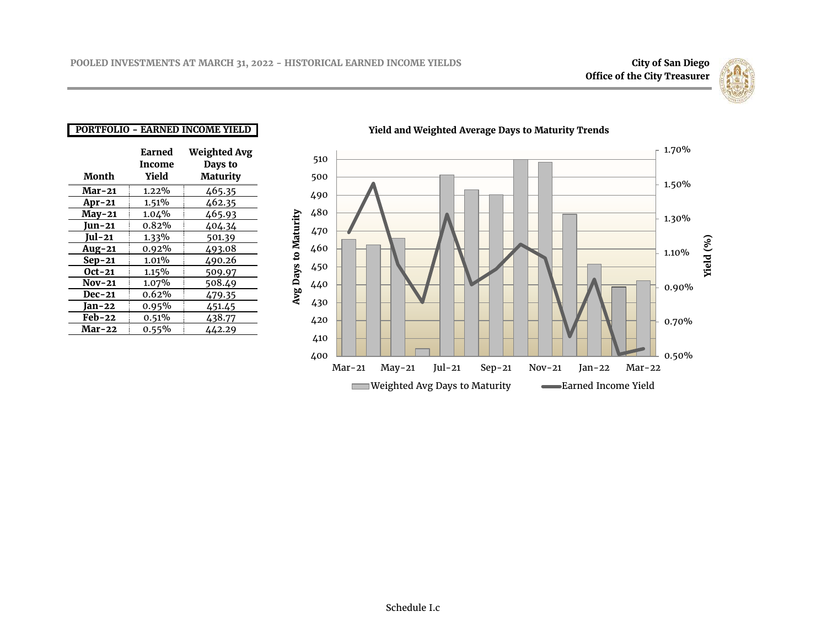

### **PORTFOLIO - EARNED INCOME YIELD**

|               | Earned   | <b>Weighted Avg</b> |
|---------------|----------|---------------------|
|               | Income   | Days to             |
| Month         | Yield    | Maturity            |
| <b>Mar-21</b> | $1.22\%$ | 465.35              |
| $Ar-21$       | 1.51%    | 462.35              |
| $May-21$      | 1.04%    | 465.93              |
| Jun-21        | 0.82%    | 404.34              |
| Jul-21        | 1.33%    | 501.39              |
| $Aug-21$      | 0.92%    | 493.08              |
| $Sep-21$      | 1.01%    | 490.26              |
| $Oct-21$      | 1.15%    | 509.97              |
| <b>Nov-21</b> | 1.07%    | 508.49              |
| <b>Dec-21</b> | 0.62%    | 479.35              |
| Jan-22        | 0.95%    | 451.45              |
| <b>Feb-22</b> | 0.51%    | 438.77              |
| Mar-22        | $0.55\%$ | 442.29              |



### **Yield and Weighted Average Days to Maturity Trends**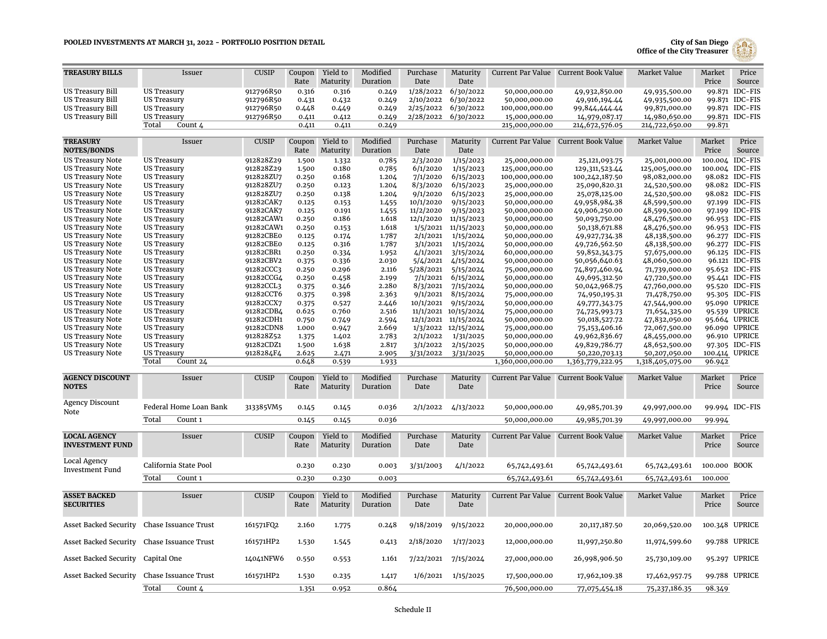#### **POOLED INVESTMENTS AT MARCH 31, 2022 - PORTFOLIO POSITION DETAIL**



| <b>TREASURY BILLS</b>                              | Issuer                                   | <b>CUSIP</b>           | Coupon         | Yield to             | Modified             | Purchase               | Maturity               |                                   | Current Par Value Current Book Value | Market Value                      | <b>Market</b>          | Price                            |
|----------------------------------------------------|------------------------------------------|------------------------|----------------|----------------------|----------------------|------------------------|------------------------|-----------------------------------|--------------------------------------|-----------------------------------|------------------------|----------------------------------|
|                                                    |                                          |                        | Rate           | Maturity             | Duration             | Date                   | Date                   |                                   |                                      |                                   | Price                  | Source                           |
| US Treasury Bill                                   | <b>US Treasury</b>                       | 912796R50              | 0.316          | 0.316                | 0.249                | 1/28/2022              | 6/30/2022              | 50,000,000.00                     | 49,932,850.00                        | 49,935,500.00                     |                        | 99.871 IDC-FIS                   |
| <b>US Treasury Bill</b>                            | <b>US Treasury</b>                       | 912796R50              | 0.431          | 0.432                | 0.249                | 2/10/2022              | 6/30/2022              | 50,000,000.00                     | 49,916,194.44                        | 49,935,500.00                     |                        | 99.871 IDC-FIS                   |
| US Treasury Bill<br><b>US Treasury Bill</b>        | <b>US Treasury</b><br>US Treasury        | 912796R50<br>912796R50 | 0.448<br>0.411 | 0.449<br>0.412       | 0.249<br>0.249       | 2/25/2022<br>2/28/2022 | 6/30/2022<br>6/30/2022 | 100,000,000.00<br>15,000,000.00   | 99,844,444.44<br>14,979,087.17       | 99,871,000.00<br>14,980,650.00    |                        | 99.871 IDC-FIS<br>99.871 IDC-FIS |
|                                                    | Total<br>Count 4                         |                        | 0.411          | 0.411                | 0.249                |                        |                        | 215,000,000.00                    | 214,672,576.05                       | 214,722,650.00                    | 99.871                 |                                  |
|                                                    |                                          |                        |                |                      |                      |                        |                        |                                   |                                      |                                   |                        |                                  |
| <b>TREASURY</b><br><b>NOTES/BONDS</b>              | Issuer                                   | <b>CUSIP</b>           | Coupon<br>Rate | Yield to<br>Maturity | Modified<br>Duration | Purchase<br>Date       | Maturity<br>Date       |                                   | Current Par Value Current Book Value | <b>Market Value</b>               | Market<br>Price        | Price<br>Source                  |
| <b>US Treasury Note</b>                            | <b>US Treasury</b>                       | 912828Z29              | 1.500          | 1.332                | 0.785                | 2/3/2020               | 1/15/2023              | 25,000,000.00                     | 25,121,093.75                        | 25,001,000.00                     |                        | 100.004 IDC-FIS                  |
| <b>US Treasury Note</b>                            | <b>US Treasury</b>                       | 912828Z29              | 1.500          | 0.180                | 0.785                | 6/1/2020               | 1/15/2023              | 125,000,000.00                    | 129,311,523.44                       | 125,005,000.00                    | 100.004                | <b>IDC-FIS</b>                   |
| <b>US Treasury Note</b>                            | <b>US Treasury</b>                       | 912828ZU7              | 0.250          | 0.168                | 1.204                | 7/1/2020               | 6/15/2023              | 100,000,000.00                    | 100,242,187.50                       | 98,082,000.00                     |                        | 98.082 IDC-FIS                   |
| <b>US Treasury Note</b>                            | <b>US Treasury</b>                       | 912828ZU7              | 0.250          | 0.123                | 1.204                | 8/3/2020               | 6/15/2023              | 25,000,000.00                     | 25,090,820.31                        | 24,520,500.00                     |                        | 98.082 IDC-FIS                   |
| <b>US Treasury Note</b><br>US Treasury Note        | <b>US Treasury</b><br>US Treasury        | 912828ZU7<br>91282CAK7 | 0.250<br>0.125 | 0.138<br>0.153       | 1.204                | 9/1/2020<br>10/1/2020  | 6/15/2023<br>9/15/2023 | 25,000,000.00<br>50,000,000.00    | 25,078,125.00                        | 24,520,500.00                     |                        | 98.082 IDC-FIS<br>97.199 IDC-FIS |
| <b>US Treasury Note</b>                            | <b>US Treasury</b>                       | 91282CAK7              | 0.125          | 0.191                | 1.455<br>1.455       | 11/2/2020              | 9/15/2023              | 50,000,000.00                     | 49,958,984.38<br>49,906,250.00       | 48,599,500.00<br>48,599,500.00    |                        | 97.199 IDC-FIS                   |
| <b>US Treasury Note</b>                            | <b>US Treasury</b>                       | 91282CAW1              | 0.250          | 0.186                | 1.618                |                        | 12/1/2020 11/15/2023   | 50,000,000.00                     | 50,093,750.00                        | 48,476,500.00                     |                        | 96.953 IDC-FIS                   |
| <b>US Treasury Note</b>                            | <b>US Treasury</b>                       | 91282CAW1              | 0.250          | 0.153                | 1.618                |                        | 1/5/2021 11/15/2023    | 50,000,000.00                     | 50,138,671.88                        | 48,476,500.00                     |                        | 96.953 IDC-FIS                   |
| <b>US Treasury Note</b>                            | <b>US Treasury</b>                       | 91282CBE0              | 0.125          | 0.174                | 1.787                | 2/1/2021               | 1/15/2024              | 50,000,000.00                     | 49,927,734.38                        | 48,138,500.00                     |                        | 96.277 IDC-FIS                   |
| <b>US Treasury Note</b>                            | <b>US Treasury</b>                       | 91282CBE0              | 0.125          | 0.316                | 1.787                | 3/1/2021               | 1/15/2024              | 50,000,000.00                     | 49,726,562.50                        | 48,138,500.00                     |                        | 96.277 IDC-FIS                   |
| <b>US Treasury Note</b>                            | <b>US Treasury</b>                       | 91282CBR1              | 0.250          | 0.334                | 1.952                | 4/1/2021               | 3/15/2024              | 60,000,000.00                     | 59,852,343.75                        | 57,675,000.00                     |                        | 96.125 IDC-FIS                   |
| <b>US Treasury Note</b>                            | <b>US Treasury</b>                       | 91282CBV2              | 0.375          | 0.336                | 2.030                | 5/4/2021               | 4/15/2024              | 50,000,000.00                     | 50,056,640.63                        | 48,060,500.00                     |                        | 96.121 IDC-FIS                   |
| <b>US Treasury Note</b>                            | <b>US Treasury</b>                       | 91282CCC3<br>91282CCG4 | 0.250          | 0.296                | 2.116<br>2.199       | 5/28/2021<br>7/1/2021  | 5/15/2024              | 75,000,000.00                     | 74,897,460.94                        | 71,739,000.00                     |                        | 95.652 IDC-FIS                   |
| <b>US Treasury Note</b><br><b>US Treasury Note</b> | <b>US Treasury</b><br><b>US Treasury</b> | 91282CCL3              | 0.250<br>0.375 | 0.458<br>0.346       | 2.280                | 8/3/2021               | 6/15/2024<br>7/15/2024 | 50,000,000.00<br>50,000,000.00    | 49,695,312.50<br>50,042,968.75       | 47,720,500.00<br>47,760,000.00    |                        | 95.441 IDC-FIS<br>95.520 IDC-FIS |
| <b>US Treasury Note</b>                            | US Treasury                              | 91282CCT6              | 0.375          | 0.398                | 2.363                | 9/1/2021               | 8/15/2024              | 75,000,000.00                     | 74,950,195.31                        | 71,478,750.00                     |                        | 95.305 IDC-FIS                   |
| <b>US Treasury Note</b>                            | <b>US Treasury</b>                       | 91282CCX7              | 0.375          | 0.527                | 2.446                | 10/1/2021              | 9/15/2024              | 50,000,000.00                     | 49,777,343.75                        | 47,544,900.00                     |                        | 95.090 UPRICE                    |
| <b>US Treasury Note</b>                            | <b>US Treasury</b>                       | 91282CDB4              | 0.625          | 0.760                | 2.516                |                        | 11/1/2021 10/15/2024   | 75,000,000.00                     | 74,725,993.73                        | 71,654,325.00                     |                        | 95.539 UPRICE                    |
| <b>US Treasury Note</b>                            | <b>US Treasury</b>                       | 91282CDH1              | 0.750          | 0.749                | 2.594                |                        | 12/1/2021 11/15/2024   | 50,000,000.00                     | 50,018,527.72                        | 47,832,050.00                     |                        | 95.664 UPRICE                    |
| <b>US Treasury Note</b>                            | <b>US Treasury</b>                       | 91282CDN8              | 1.000          | 0.947                | 2.669                |                        | 1/3/2022 12/15/2024    | 75,000,000.00                     | 75,153,406.16                        | 72,067,500.00                     |                        | 96.090 UPRICE                    |
| <b>US Treasury Note</b>                            | <b>US Treasury</b>                       | 912828Z52              | 1.375          | 1.402                | 2.783                | 2/1/2022               | 1/31/2025              | 50,000,000.00                     | 49,962,836.67                        | 48,455,000.00                     |                        | 96.910 UPRICE                    |
| <b>US Treasury Note</b>                            | <b>US Treasury</b>                       | 91282CDZ1              | 1.500          | 1.638                | 2.817                | 3/1/2022               | 2/15/2025              | 50,000,000.00                     | 49,829,786.77                        | 48,652,500.00                     |                        | 97.305 IDC-FIS                   |
| <b>US Treasury Note</b>                            | <b>US Treasury</b><br>Total<br>Count 24  | 9128284F4              | 2.625<br>0.648 | 2.471<br>0.539       | 2.905<br>1.933       | 3/31/2022              | 3/31/2025              | 50,000,000.00<br>1,360,000,000.00 | 50,220,703.13<br>1,363,779,222.95    | 50,207,050.00<br>1,318,405,075.00 | 96.942                 | 100.414 UPRICE                   |
|                                                    |                                          |                        |                |                      |                      |                        |                        |                                   |                                      |                                   |                        |                                  |
| <b>AGENCY DISCOUNT</b><br><b>NOTES</b>             | Issuer                                   | <b>CUSIP</b>           | Coupon<br>Rate | Yield to<br>Maturity | Modified<br>Duration | Purchase<br>Date       | Maturity<br>Date       |                                   | Current Par Value Current Book Value | Market Value                      | <b>Market</b><br>Price | Price<br>Source                  |
| <b>Agency Discount</b><br>Note                     | Federal Home Loan Bank                   | 313385VM5              | 0.145          | 0.145                | 0.036                |                        | 2/1/2022 4/13/2022     | 50,000,000.00                     | 49,985,701.39                        | 49,997,000.00                     |                        | 99.994 IDC-FIS                   |
|                                                    | Total<br>Count <sub>1</sub>              |                        | 0.145          | 0.145                | 0.036                |                        |                        | 50,000,000.00                     | 49,985,701.39                        | 49,997,000.00                     | 99.994                 |                                  |
| <b>LOCAL AGENCY</b>                                | Issuer                                   | <b>CUSIP</b>           |                | Yield to             | Modified             | Purchase               | Maturity               |                                   | Current Par Value Current Book Value | <b>Market Value</b>               | Market                 | Price                            |
| <b>INVESTMENT FUND</b>                             |                                          |                        | Coupon<br>Rate | Maturity             | Duration             | Date                   | Date                   |                                   |                                      |                                   | Price                  | Source                           |
| Local Agency<br>Investment Fund                    | California State Pool                    |                        | 0.230          | 0.230                | 0.003                | 3/31/2003              | 4/1/2022               | 65,742,493.61                     | 65,742,493.61                        | 65,742,493.61                     | 100.000                | <b>BOOK</b>                      |
|                                                    | Total<br>Count 1                         |                        | 0.230          | 0.230                | 0.003                |                        |                        | 65,742,493.61                     | 65,742,493.61                        | 65,742,493.61                     | 100.000                |                                  |
|                                                    | Issuer                                   | <b>CUSIP</b>           |                | Yield to             | Modified             |                        |                        |                                   |                                      |                                   |                        | Price                            |
| <b>ASSET BACKED</b><br><b>SECURITIES</b>           |                                          |                        | Coupon<br>Rate | Maturity             | Duration             | Purchase<br>Date       | Maturity<br>Date       |                                   | Current Par Value Current Book Value | Market Value                      | Market<br>Price        | Source                           |
| Asset Backed Security                              | Chase Issuance Trust                     | 161571FQ2              | 2.160          | 1.775                | 0.248                | 9/18/2019              | 9/15/2022              | 20,000,000.00                     | 20, 117, 187.50                      | 20,069,520.00                     |                        | 100.348 UPRICE                   |
| Asset Backed Security Chase Issuance Trust         |                                          | 161571HP2              | 1.530          | 1.545                | 0.413                | 2/18/2020              | 1/17/2023              | 12,000,000.00                     | 11,997,250.80                        | 11,974,599.60                     |                        | 99.788 UPRICE                    |
| Asset Backed Security                              | Capital One                              | 14041NFW6              | 0.550          | 0.553                | 1.161                | 7/22/2021              | 7/15/2024              | 27,000,000.00                     | 26,998,906.50                        | 25,730,109.00                     |                        | 95.297 UPRICE                    |
| Asset Backed Security                              | Chase Issuance Trust                     | 161571HP2              | 1.530          | 0.235                | 1.417                |                        | $1/6/2021$ $1/15/2025$ | 17,500,000.00                     | 17,962,109.38                        | 17,462,957.75                     |                        | 99.788 UPRICE                    |
|                                                    | Total<br>Count 4                         |                        | 1.351          | 0.952                | 0.864                |                        |                        | 76,500,000.00                     | 77,075,454.18                        | 75,237,186.35                     | 98.349                 |                                  |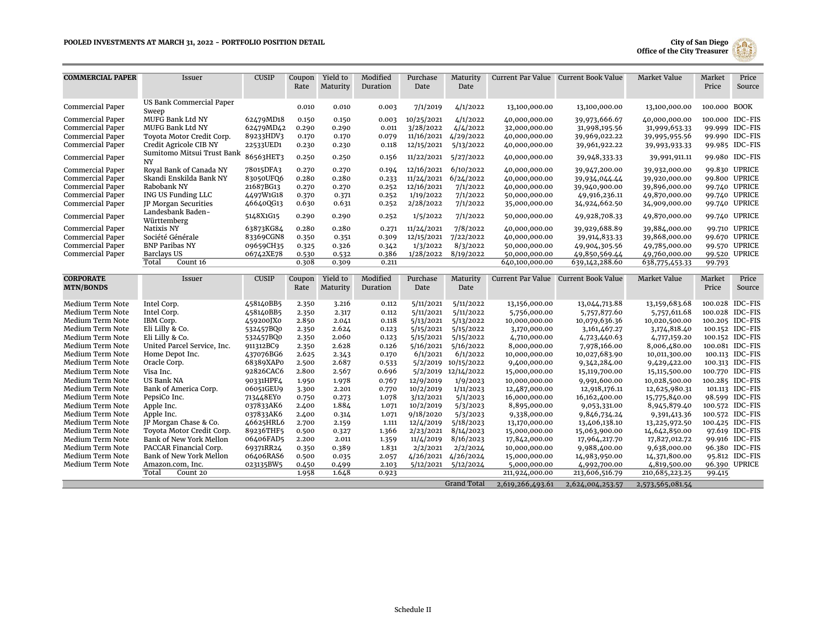

| <b>COMMERCIAL PAPER</b> | Issuer                                  | <b>CUSIP</b> | Coupon<br>Rate | Yield to<br>Maturity | Modified<br>Duration | Purchase<br>Date | Maturity<br>Date    |                  | Current Par Value Current Book Value | <b>Market Value</b> | Market<br>Price | Price<br>Source |
|-------------------------|-----------------------------------------|--------------|----------------|----------------------|----------------------|------------------|---------------------|------------------|--------------------------------------|---------------------|-----------------|-----------------|
|                         | US Bank Commercial Paper                |              |                |                      |                      |                  |                     |                  |                                      |                     |                 |                 |
| Commercial Paper        | Sweep                                   |              | 0.010          | 0.010                | 0.003                | 7/1/2019         | 4/1/2022            | 13,100,000.00    | 13,100,000.00                        | 13,100,000.00       | 100.000 BOOK    |                 |
| Commercial Paper        | <b>MUFG Bank Ltd NY</b>                 | 62479MD18    | 0.150          | 0.150                | 0.003                | 10/25/2021       | 4/1/2022            | 40,000,000.00    | 39,973,666.67                        | 40,000,000.00       |                 | 100.000 IDC-FIS |
| Commercial Paper        | <b>MUFG Bank Ltd NY</b>                 | 62479MD42    | 0.290          | 0.290                | 0.011                | 3/28/2022        | 4/4/2022            | 32,000,000.00    | 31,998,195.56                        | 31,999,653.33       |                 | 99.999 IDC-FIS  |
| Commercial Paper        | Toyota Motor Credit Corp.               | 89233HDV3    | 0.170          | 0.170                | 0.079                | 11/16/2021       | 4/29/2022           | 40,000,000.00    | 39,969,022.22                        | 39,995,955.56       |                 | 99.990 IDC-FIS  |
| Commercial Paper        | Credit Agricole CIB NY                  | 22533UED1    | 0.230          | 0.230                | 0.118                | 12/15/2021       | 5/13/2022           | 40,000,000.00    | 39,961,922.22                        | 39,993,933.33       |                 | 99.985 IDC-FIS  |
| Commercial Paper        | Sumitomo Mitsui Trust Bank<br><b>NY</b> | 86563HET3    | 0.250          | 0.250                | 0.156                | 11/22/2021       | 5/27/2022           | 40,000,000.00    | 39,948,333.33                        | 39,991,911.11       |                 | 99.980 IDC-FIS  |
| Commercial Paper        | Royal Bank of Canada NY                 | 78015DFA3    | 0.270          | 0.270                | 0.194                | 12/16/2021       | 6/10/2022           | 40,000,000.00    | 39,947,200.00                        | 39,932,000.00       |                 | 99.830 UPRICE   |
| Commercial Paper        | Skandi Enskilda Bank NY                 | 83050UFQ6    | 0.280          | 0.280                | 0.233                | 11/24/2021       | 6/24/2022           | 40,000,000.00    | 39,934,044.44                        | 39,920,000.00       |                 | 99.800 UPRICE   |
| Commercial Paper        | Rabobank NY                             | 21687BG13    | 0.270          | 0.270                | 0.252                | 12/16/2021       | 7/1/2022            | 40,000,000.00    | 39,940,900.00                        | 39,896,000.00       |                 | 99.740 UPRICE   |
| Commercial Paper        | ING US Funding LLC                      | 4497W1G18    | 0.370          | 0.371                | 0.252                | 1/19/2022        | 7/1/2022            | 50,000,000.00    | 49,916,236.11                        | 49,870,000.00       |                 | 99.740 UPRICE   |
| <b>Commercial Paper</b> | JP Morgan Securities                    | 46640QG13    | 0.630          | 0.631                | 0.252                | 2/28/2022        | 7/1/2022            | 35,000,000.00    | 34,924,662.50                        | 34,909,000.00       |                 | 99.740 UPRICE   |
| <b>Commercial Paper</b> | Landesbank Baden-<br>Württemberg        | 5148X1G15    | 0.290          | 0.290                | 0.252                | 1/5/2022         | 7/1/2022            | 50,000,000.00    | 49,928,708.33                        | 49,870,000.00       |                 | 99.740 UPRICE   |
| Commercial Paper        | Natixis NY                              | 63873KG84    | 0.280          | 0.280                | 0.271                | 11/24/2021       | 7/8/2022            | 40,000,000.00    | 39,929,688.89                        | 39,884,000.00       |                 | 99.710 UPRICE   |
| Commercial Paper        | Société Générale                        | 83369CGN8    | 0.350          | 0.351                | 0.309                | 12/15/2021       | 7/22/2022           | 40,000,000.00    | 39,914,833.33                        | 39,868,000.00       |                 | 99.670 UPRICE   |
| <b>Commercial Paper</b> | <b>BNP Paribas NY</b>                   | 09659CH35    | 0.325          | 0.326                | 0.342                | 1/3/2022         | 8/3/2022            | 50,000,000.00    | 49,904,305.56                        | 49,785,000.00       |                 | 99.570 UPRICE   |
| Commercial Paper        | <b>Barclays US</b>                      | 06742XE78    | 0.530          | 0.532                | 0.386                | 1/28/2022        | 8/19/2022           | 50,000,000.00    | 49,850,569.44                        | 49,760,000.00       |                 | 99.520 UPRICE   |
|                         | Count 16<br>Total                       |              | 0.308          | 0.309                | 0.211                |                  |                     | 640,100,000.00   | 639,142,288.60                       | 638,775,453.33      | 99.793          |                 |
| <b>CORPORATE</b>        | Issuer                                  | <b>CUSIP</b> | Coupon         | Yield to             | Modified             | Purchase         | Maturity            |                  | Current Par Value Current Book Value | <b>Market Value</b> | Market          | Price           |
| <b>MTN/BONDS</b>        |                                         |              | Rate           | Maturity             | Duration             | Date             | Date                |                  |                                      |                     | Price           | Source          |
|                         |                                         |              |                |                      |                      |                  |                     |                  |                                      |                     |                 |                 |
| Medium Term Note        | Intel Corp.                             | 458140BB5    | 2.350          | 3.216                | 0.112                | 5/11/2021        | 5/11/2022           | 13,156,000.00    | 13,044,713.88                        | 13,159,683.68       |                 | 100.028 IDC-FIS |
| Medium Term Note        | Intel Corp.                             | 458140BB5    | 2.350          | 2.317                | 0.112                | 5/11/2021        | 5/11/2022           | 5,756,000.00     | 5,757,877.60                         | 5,757,611.68        |                 | 100.028 IDC-FIS |
| Medium Term Note        | IBM Corp.                               | 459200JX0    | 2.850          | 2.041                | 0.118                | 5/13/2021        | 5/13/2022           | 10,000,000.00    | 10,079,636.36                        | 10,020,500.00       |                 | 100.205 IDC-FIS |
| Medium Term Note        | Eli Lilly & Co.                         | 532457BQ0    | 2.350          | 2.624                | 0.123                | 5/15/2021        | 5/15/2022           | 3,170,000.00     | 3,161,467.27                         | 3,174,818.40        |                 | 100.152 IDC-FIS |
| Medium Term Note        | Eli Lilly & Co.                         | 532457BQ0    | 2.350          | 2.060                | 0.123                | 5/15/2021        | 5/15/2022           | 4,710,000.00     | 4,723,440.63                         | 4,717,159.20        |                 | 100.152 IDC-FIS |
| Medium Term Note        | United Parcel Service, Inc.             | 911312BC9    | 2.350          | 2.628                | 0.126                | 5/16/2021        | 5/16/2022           | 8,000,000.00     | 7,978,166.00                         | 8,006,480.00        |                 | 100.081 IDC-FIS |
| Medium Term Note        | Home Depot Inc.                         | 437076BG6    | 2.625          | 2.343                | 0.170                | 6/1/2021         | 6/1/2022            | 10,000,000.00    | 10,027,683.90                        | 10,011,300.00       |                 | 100.113 IDC-FIS |
| Medium Term Note        | Oracle Corp.                            | 68389XAP0    | 2.500          | 2.687                | 0.533                |                  | 5/2/2019 10/15/2022 | 9,400,000.00     | 9,342,284.00                         | 9,429,422.00        |                 | 100.313 IDC-FIS |
| Medium Term Note        | Visa Inc.                               | 92826CAC6    | 2.800          | 2.567                | 0.696                |                  | 5/2/2019 12/14/2022 | 15,000,000.00    | 15,119,700.00                        | 15,115,500.00       |                 | 100.770 IDC-FIS |
| Medium Term Note        | <b>US Bank NA</b>                       | 90331HPF4    | 1.950          | 1.978                | 0.767                | 12/9/2019        | 1/9/2023            | 10,000,000.00    | 9,991,600.00                         | 10,028,500.00       |                 | 100.285 IDC-FIS |
| Medium Term Note        | Bank of America Corp.                   | 06051GEU9    | 3.300          | 2.201                | 0.770                | 10/2/2019        | 1/11/2023           | 12,487,000.00    | 12,918,176.11                        | 12,625,980.31       |                 | 101.113 IDC-FIS |
| Medium Term Note        | PepsiCo Inc.                            | 713448EY0    | 0.750          | 0.273                | 1.078                | 3/12/2021        | 5/1/2023            | 16,000,000.00    | 16,162,400.00                        | 15,775,840.00       |                 | 98.599 IDC-FIS  |
| Medium Term Note        | Apple Inc.                              | 037833AK6    | 2.400          | 1.884                | 1.071                | 10/2/2019        | 5/3/2023            | 8,895,000.00     | 9,053,331.00                         | 8,945,879.40        |                 | 100.572 IDC-FIS |
| Medium Term Note        | Apple Inc.                              | 037833AK6    | 2.400          | 0.314                | 1.071                | 9/18/2020        | 5/3/2023            | 9,338,000.00     | 9,846,734.24                         | 9,391,413.36        |                 | 100.572 IDC-FIS |
| Medium Term Note        | JP Morgan Chase & Co.                   | 46625HRL6    | 2.700          | 2.159                | 1.111                | 12/4/2019        | 5/18/2023           | 13,170,000.00    | 13,406,138.10                        | 13,225,972.50       |                 | 100.425 IDC-FIS |
| Medium Term Note        | Toyota Motor Credit Corp.               | 89236THF5    | 0.500          | 0.327                | 1.366                | 2/23/2021        | 8/14/2023           | 15,000,000.00    | 15,063,900.00                        | 14,642,850.00       |                 | 97.619 IDC-FIS  |
| Medium Term Note        | Bank of New York Mellon                 | 06406FAD5    | 2.200          | 2.011                | 1.359                | 11/4/2019        | 8/16/2023           | 17,842,000.00    | 17,964,217.70                        | 17,827,012.72       |                 | 99.916 IDC-FIS  |
| Medium Term Note        | PACCAR Financial Corp.                  | 69371RR24    | 0.350          | 0.389                | 1.831                | 2/2/2021         | 2/2/2024            | 10,000,000.00    | 9,988,400.00                         | 9,638,000.00        |                 | 96.380 IDC-FIS  |
| Medium Term Note        | Bank of New York Mellon                 | 06406RAS6    | 0.500          | 0.035                | 2.057                | 4/26/2021        | 4/26/2024           | 15,000,000.00    | 14,983,950.00                        | 14,371,800.00       |                 | 95.812 IDC-FIS  |
| Medium Term Note        | Amazon.com, Inc.                        | 023135BW5    | 0.450          | 0.499                | 2.103                | 5/12/2021        | 5/12/2024           | 5,000,000.00     | 4,992,700.00                         | 4,819,500.00        |                 | 96.390 UPRICE   |
|                         | Total<br>Count 20                       |              | 1.958          | 1.648                | 0.923                |                  |                     | 211,924,000.00   | 213,606,516.79                       | 210, 685, 223. 25   | 99.415          |                 |
|                         |                                         |              |                |                      |                      |                  | <b>Grand Total</b>  | 2,619,266,493.61 | 2,624,004,253.57                     | 2,573,565,081.54    |                 |                 |